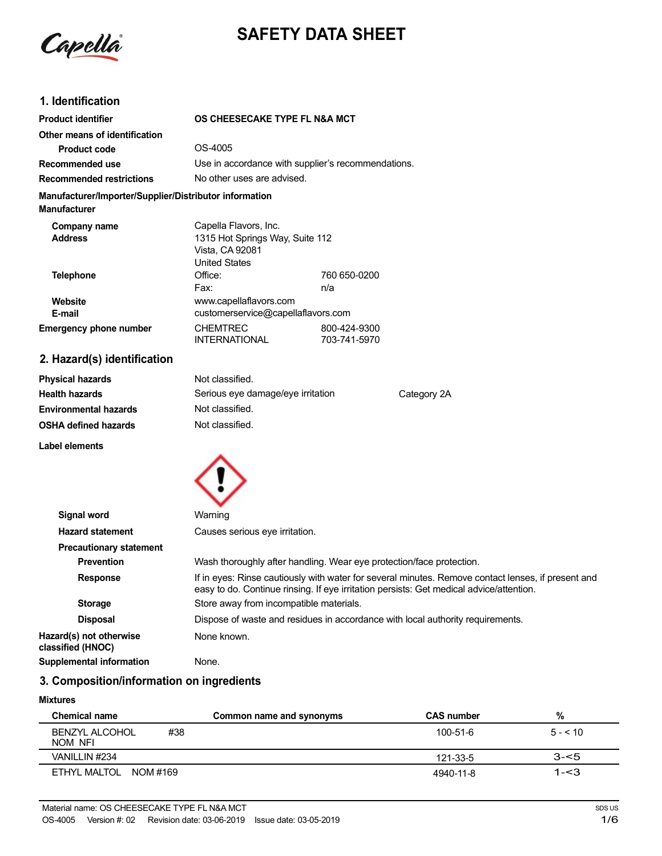

# **SAFETY DATA SHEET**

## **1. Identification**

| <b>Product identifier</b>                                                     | OS CHEESECAKE TYPE FL N&A MCT                                                                       |                                                    |
|-------------------------------------------------------------------------------|-----------------------------------------------------------------------------------------------------|----------------------------------------------------|
| Other means of identification                                                 |                                                                                                     |                                                    |
| Product code                                                                  | OS-4005                                                                                             |                                                    |
| Recommended use                                                               |                                                                                                     | Use in accordance with supplier's recommendations. |
| <b>Recommended restrictions</b>                                               | No other uses are advised.                                                                          |                                                    |
| Manufacturer/Importer/Supplier/Distributor information<br><b>Manufacturer</b> |                                                                                                     |                                                    |
| Company name<br><b>Address</b>                                                | Capella Flavors, Inc.<br>1315 Hot Springs Way, Suite 112<br>Vista, CA 92081<br><b>United States</b> |                                                    |
| Telephone<br>Website                                                          | Office:<br>Fax:<br>www.capellaflavors.com                                                           | 760 650-0200<br>n/a                                |
| E-mail                                                                        | customerservice@capellaflavors.com                                                                  |                                                    |
| <b>Emergency phone number</b>                                                 | <b>CHEMTREC</b><br><b>INTERNATIONAL</b>                                                             | 800-424-9300<br>703-741-5970                       |

# **2. Hazard(s) identification**

| <b>Physical hazards</b>      | Not classified.                   |             |
|------------------------------|-----------------------------------|-------------|
| <b>Health hazards</b>        | Serious eye damage/eye irritation | Category 2A |
| <b>Environmental hazards</b> | Not classified.                   |             |
| <b>OSHA defined hazards</b>  | Not classified.                   |             |

**Label elements**



| Signal word                                  | Warning                                                                                                                                                                                       |  |
|----------------------------------------------|-----------------------------------------------------------------------------------------------------------------------------------------------------------------------------------------------|--|
| <b>Hazard statement</b>                      | Causes serious eye irritation.                                                                                                                                                                |  |
| <b>Precautionary statement</b>               |                                                                                                                                                                                               |  |
| <b>Prevention</b>                            | Wash thoroughly after handling. Wear eye protection/face protection.                                                                                                                          |  |
| <b>Response</b>                              | If in eyes: Rinse cautiously with water for several minutes. Remove contact lenses, if present and<br>easy to do. Continue rinsing. If eye irritation persists: Get medical advice/attention. |  |
| <b>Storage</b>                               | Store away from incompatible materials.                                                                                                                                                       |  |
| <b>Disposal</b>                              | Dispose of waste and residues in accordance with local authority requirements.                                                                                                                |  |
| Hazard(s) not otherwise<br>classified (HNOC) | None known.                                                                                                                                                                                   |  |
| <b>Supplemental information</b>              | None.                                                                                                                                                                                         |  |

# **3. Composition/information on ingredients**

#### **Mixtures**

| Chemical name                    | Common name and synonyms | <b>CAS number</b> | %            |
|----------------------------------|--------------------------|-------------------|--------------|
| #38<br>BENZYL ALCOHOL<br>NOM NFI |                          | $100 - 51 - 6$    | $5 - 5 = 10$ |
| VANILLIN #234                    |                          | 121-33-5          | $3 - 5$      |
| ETHYL MALTOL NOM #169            |                          | 4940-11-8         | $1 - 3$      |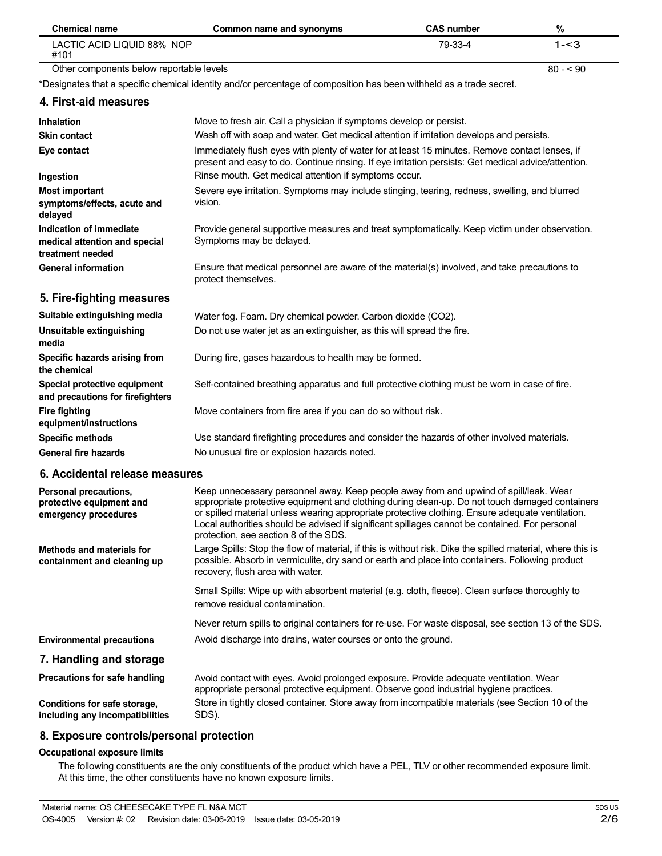| <b>Chemical name</b>                                                         | Common name and synonyms                                                                                                                                                                                                                                                                                                                                                                                                               | <b>CAS number</b> | $\%$      |
|------------------------------------------------------------------------------|----------------------------------------------------------------------------------------------------------------------------------------------------------------------------------------------------------------------------------------------------------------------------------------------------------------------------------------------------------------------------------------------------------------------------------------|-------------------|-----------|
| LACTIC ACID LIQUID 88% NOP<br>#101                                           |                                                                                                                                                                                                                                                                                                                                                                                                                                        | 79-33-4           | $1 - 3$   |
| Other components below reportable levels                                     |                                                                                                                                                                                                                                                                                                                                                                                                                                        |                   | $80 - 90$ |
|                                                                              | *Designates that a specific chemical identity and/or percentage of composition has been withheld as a trade secret.                                                                                                                                                                                                                                                                                                                    |                   |           |
| 4. First-aid measures                                                        |                                                                                                                                                                                                                                                                                                                                                                                                                                        |                   |           |
| Inhalation                                                                   | Move to fresh air. Call a physician if symptoms develop or persist.                                                                                                                                                                                                                                                                                                                                                                    |                   |           |
| <b>Skin contact</b>                                                          | Wash off with soap and water. Get medical attention if irritation develops and persists.                                                                                                                                                                                                                                                                                                                                               |                   |           |
| Eye contact                                                                  | Immediately flush eyes with plenty of water for at least 15 minutes. Remove contact lenses, if<br>present and easy to do. Continue rinsing. If eye irritation persists: Get medical advice/attention.                                                                                                                                                                                                                                  |                   |           |
| Ingestion                                                                    | Rinse mouth. Get medical attention if symptoms occur.                                                                                                                                                                                                                                                                                                                                                                                  |                   |           |
| <b>Most important</b><br>symptoms/effects, acute and<br>delayed              | Severe eye irritation. Symptoms may include stinging, tearing, redness, swelling, and blurred<br>vision.                                                                                                                                                                                                                                                                                                                               |                   |           |
| Indication of immediate<br>medical attention and special<br>treatment needed | Provide general supportive measures and treat symptomatically. Keep victim under observation.<br>Symptoms may be delayed.                                                                                                                                                                                                                                                                                                              |                   |           |
| <b>General information</b>                                                   | Ensure that medical personnel are aware of the material(s) involved, and take precautions to<br>protect themselves.                                                                                                                                                                                                                                                                                                                    |                   |           |
| 5. Fire-fighting measures                                                    |                                                                                                                                                                                                                                                                                                                                                                                                                                        |                   |           |
| Suitable extinguishing media                                                 | Water fog. Foam. Dry chemical powder. Carbon dioxide (CO2).                                                                                                                                                                                                                                                                                                                                                                            |                   |           |
| Unsuitable extinguishing<br>media                                            | Do not use water jet as an extinguisher, as this will spread the fire.                                                                                                                                                                                                                                                                                                                                                                 |                   |           |
| Specific hazards arising from<br>the chemical                                | During fire, gases hazardous to health may be formed.                                                                                                                                                                                                                                                                                                                                                                                  |                   |           |
| Special protective equipment<br>and precautions for firefighters             | Self-contained breathing apparatus and full protective clothing must be worn in case of fire.                                                                                                                                                                                                                                                                                                                                          |                   |           |
| <b>Fire fighting</b><br>equipment/instructions                               | Move containers from fire area if you can do so without risk.                                                                                                                                                                                                                                                                                                                                                                          |                   |           |
| <b>Specific methods</b>                                                      | Use standard firefighting procedures and consider the hazards of other involved materials.                                                                                                                                                                                                                                                                                                                                             |                   |           |
| <b>General fire hazards</b>                                                  | No unusual fire or explosion hazards noted.                                                                                                                                                                                                                                                                                                                                                                                            |                   |           |
| 6. Accidental release measures                                               |                                                                                                                                                                                                                                                                                                                                                                                                                                        |                   |           |
| Personal precautions,<br>protective equipment and<br>emergency procedures    | Keep unnecessary personnel away. Keep people away from and upwind of spill/leak. Wear<br>appropriate protective equipment and clothing during clean-up. Do not touch damaged containers<br>or spilled material unless wearing appropriate protective clothing. Ensure adequate ventilation.<br>Local authorities should be advised if significant spillages cannot be contained. For personal<br>protection, see section 8 of the SDS. |                   |           |
| <b>Methods and materials for</b><br>containment and cleaning up              | Large Spills: Stop the flow of material, if this is without risk. Dike the spilled material, where this is<br>possible. Absorb in vermiculite, dry sand or earth and place into containers. Following product<br>recovery, flush area with water.                                                                                                                                                                                      |                   |           |
|                                                                              | Small Spills: Wipe up with absorbent material (e.g. cloth, fleece). Clean surface thoroughly to<br>remove residual contamination.                                                                                                                                                                                                                                                                                                      |                   |           |
|                                                                              | Never return spills to original containers for re-use. For waste disposal, see section 13 of the SDS.                                                                                                                                                                                                                                                                                                                                  |                   |           |
| <b>Environmental precautions</b>                                             | Avoid discharge into drains, water courses or onto the ground.                                                                                                                                                                                                                                                                                                                                                                         |                   |           |
| 7. Handling and storage                                                      |                                                                                                                                                                                                                                                                                                                                                                                                                                        |                   |           |
| Precautions for safe handling                                                | Avoid contact with eyes. Avoid prolonged exposure. Provide adequate ventilation. Wear<br>appropriate personal protective equipment. Observe good industrial hygiene practices.                                                                                                                                                                                                                                                         |                   |           |
| Conditions for safe storage,<br>including any incompatibilities              | Store in tightly closed container. Store away from incompatible materials (see Section 10 of the<br>SDS).                                                                                                                                                                                                                                                                                                                              |                   |           |

### **8. Exposure controls/personal protection**

#### **Occupational exposure limits**

The following constituents are the only constituents of the product which have a PEL, TLV or other recommended exposure limit. At this time, the other constituents have no known exposure limits.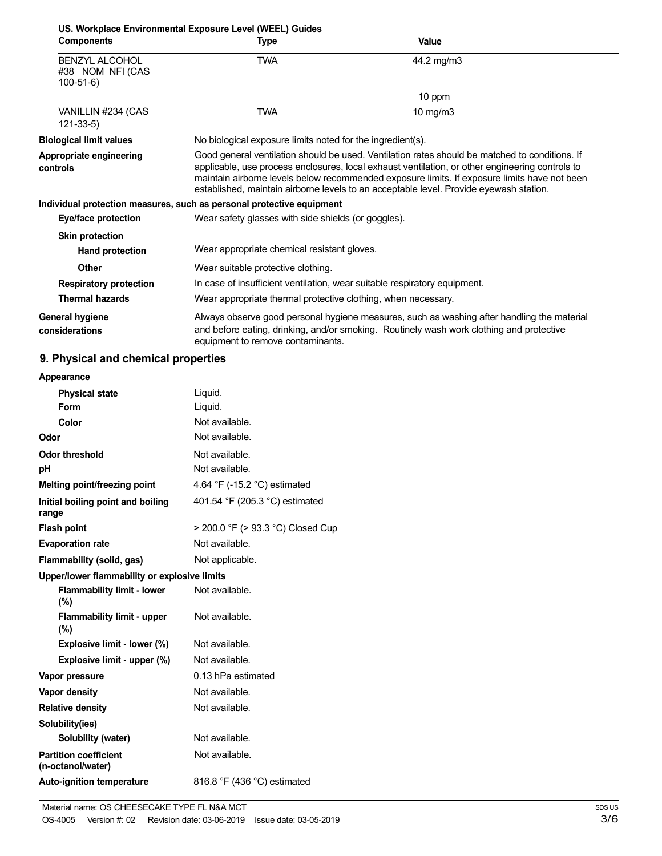|                                                         | US. Workplace Environmental Exposure Level (WEEL) Guides                  |                                                                                                                                                                                                                                                                                                                                                                                             |
|---------------------------------------------------------|---------------------------------------------------------------------------|---------------------------------------------------------------------------------------------------------------------------------------------------------------------------------------------------------------------------------------------------------------------------------------------------------------------------------------------------------------------------------------------|
| <b>Components</b>                                       | Type                                                                      | <b>Value</b>                                                                                                                                                                                                                                                                                                                                                                                |
| <b>BENZYL ALCOHOL</b><br>#38 NOM NFI (CAS<br>$100-51-6$ | <b>TWA</b>                                                                | 44.2 mg/m3                                                                                                                                                                                                                                                                                                                                                                                  |
|                                                         |                                                                           | 10 ppm                                                                                                                                                                                                                                                                                                                                                                                      |
| VANILLIN #234 (CAS<br>$121 - 33 - 5$                    | TWA                                                                       | 10 mg/m $3$                                                                                                                                                                                                                                                                                                                                                                                 |
| <b>Biological limit values</b>                          | No biological exposure limits noted for the ingredient(s).                |                                                                                                                                                                                                                                                                                                                                                                                             |
| Appropriate engineering<br>controls                     |                                                                           | Good general ventilation should be used. Ventilation rates should be matched to conditions. If<br>applicable, use process enclosures, local exhaust ventilation, or other engineering controls to<br>maintain airborne levels below recommended exposure limits. If exposure limits have not been<br>established, maintain airborne levels to an acceptable level. Provide eyewash station. |
|                                                         | Individual protection measures, such as personal protective equipment     |                                                                                                                                                                                                                                                                                                                                                                                             |
| Eye/face protection                                     | Wear safety glasses with side shields (or goggles).                       |                                                                                                                                                                                                                                                                                                                                                                                             |
| <b>Skin protection</b>                                  |                                                                           |                                                                                                                                                                                                                                                                                                                                                                                             |
| <b>Hand protection</b>                                  | Wear appropriate chemical resistant gloves.                               |                                                                                                                                                                                                                                                                                                                                                                                             |
| Other                                                   | Wear suitable protective clothing.                                        |                                                                                                                                                                                                                                                                                                                                                                                             |
| <b>Respiratory protection</b>                           | In case of insufficient ventilation, wear suitable respiratory equipment. |                                                                                                                                                                                                                                                                                                                                                                                             |
| <b>Thermal hazards</b>                                  | Wear appropriate thermal protective clothing, when necessary.             |                                                                                                                                                                                                                                                                                                                                                                                             |
| General hygiene<br>considerations                       | equipment to remove contaminants.                                         | Always observe good personal hygiene measures, such as washing after handling the material<br>and before eating, drinking, and/or smoking. Routinely wash work clothing and protective                                                                                                                                                                                                      |

# **9. Physical and chemical properties**

| Appearance                                        |                                   |
|---------------------------------------------------|-----------------------------------|
| <b>Physical state</b>                             | Liquid.                           |
| Form                                              | Liquid.                           |
| Color                                             | Not available.                    |
| Odor                                              | Not available.                    |
| <b>Odor threshold</b>                             | Not available.                    |
| рH                                                | Not available.                    |
| Melting point/freezing point                      | 4.64 °F (-15.2 °C) estimated      |
| Initial boiling point and boiling<br>range        | 401.54 °F (205.3 °C) estimated    |
| <b>Flash point</b>                                | > 200.0 °F (> 93.3 °C) Closed Cup |
| <b>Evaporation rate</b>                           | Not available.                    |
| Flammability (solid, gas)                         | Not applicable.                   |
| Upper/lower flammability or explosive limits      |                                   |
| <b>Flammability limit - lower</b><br>$(\%)$       | Not available.                    |
| <b>Flammability limit - upper</b><br>$(\%)$       | Not available.                    |
| Explosive limit - lower (%)                       | Not available.                    |
| Explosive limit - upper (%)                       | Not available.                    |
| Vapor pressure                                    | 0.13 hPa estimated                |
| <b>Vapor density</b>                              | Not available.                    |
| <b>Relative density</b>                           | Not available.                    |
| Solubility(ies)                                   |                                   |
| Solubility (water)                                | Not available.                    |
| <b>Partition coefficient</b><br>(n-octanol/water) | Not available.                    |
| <b>Auto-ignition temperature</b>                  | 816.8 °F (436 °C) estimated       |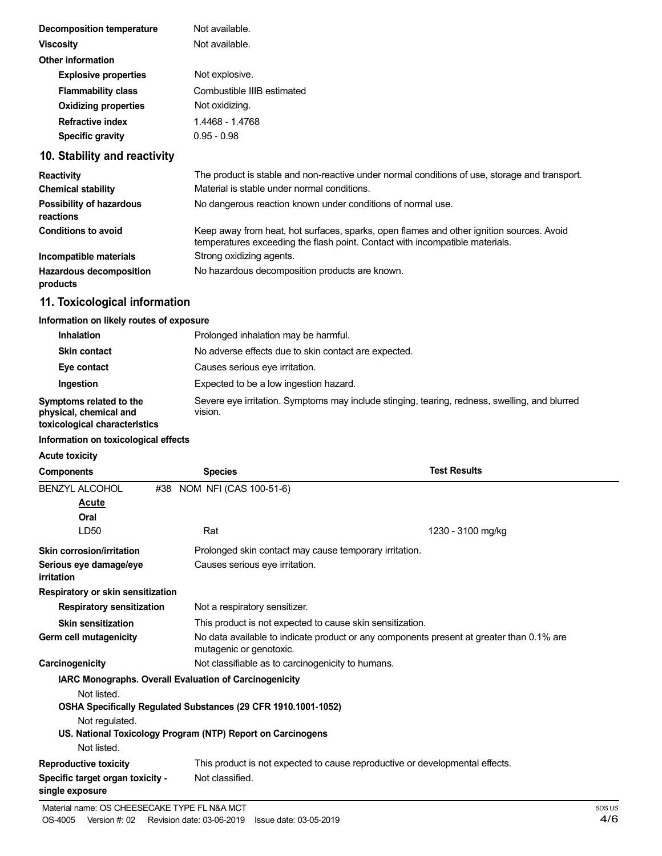| Decomposition temperature   | Not available.             |
|-----------------------------|----------------------------|
| <b>Viscosity</b>            | Not available.             |
| <b>Other information</b>    |                            |
| <b>Explosive properties</b> | Not explosive.             |
| <b>Flammability class</b>   | Combustible IIIB estimated |
| <b>Oxidizing properties</b> | Not oxidizing.             |
| <b>Refractive index</b>     | 1.4468 - 1.4768            |
| <b>Specific gravity</b>     | $0.95 - 0.98$              |
|                             |                            |

## **10. Stability and reactivity**

| <b>Reactivity</b>                            | The product is stable and non-reactive under normal conditions of use, storage and transport.                                                                            |
|----------------------------------------------|--------------------------------------------------------------------------------------------------------------------------------------------------------------------------|
| <b>Chemical stability</b>                    | Material is stable under normal conditions.                                                                                                                              |
| <b>Possibility of hazardous</b><br>reactions | No dangerous reaction known under conditions of normal use.                                                                                                              |
| <b>Conditions to avoid</b>                   | Keep away from heat, hot surfaces, sparks, open flames and other ignition sources. Avoid<br>temperatures exceeding the flash point. Contact with incompatible materials. |
| Incompatible materials                       | Strong oxidizing agents.                                                                                                                                                 |
| <b>Hazardous decomposition</b><br>products   | No hazardous decomposition products are known.                                                                                                                           |

## **11. Toxicological information**

#### **Information on likely routes of exposure**

| <b>Inhalation</b>                                                                  | Prolonged inhalation may be harmful.                                                                     |  |
|------------------------------------------------------------------------------------|----------------------------------------------------------------------------------------------------------|--|
| <b>Skin contact</b>                                                                | No adverse effects due to skin contact are expected.                                                     |  |
| Eye contact                                                                        | Causes serious eye irritation.                                                                           |  |
| Ingestion                                                                          | Expected to be a low ingestion hazard.                                                                   |  |
| Symptoms related to the<br>physical, chemical and<br>toxicological characteristics | Severe eye irritation. Symptoms may include stinging, tearing, redness, swelling, and blurred<br>vision. |  |

#### **Information on toxicological effects**

#### **Acute toxicity**

| <b>Components</b>                                   | <b>Species</b>                                                 | <b>Test Results</b>                                                                      |  |
|-----------------------------------------------------|----------------------------------------------------------------|------------------------------------------------------------------------------------------|--|
| <b>BENZYL ALCOHOL</b><br>Acute                      | NOM NFI (CAS 100-51-6)<br>#38                                  |                                                                                          |  |
| Oral                                                |                                                                |                                                                                          |  |
| LD <sub>50</sub>                                    | Rat                                                            | 1230 - 3100 mg/kg                                                                        |  |
| <b>Skin corrosion/irritation</b>                    | Prolonged skin contact may cause temporary irritation.         |                                                                                          |  |
| Serious eye damage/eye<br>irritation                | Causes serious eye irritation.                                 |                                                                                          |  |
| Respiratory or skin sensitization                   |                                                                |                                                                                          |  |
| <b>Respiratory sensitization</b>                    | Not a respiratory sensitizer.                                  |                                                                                          |  |
| <b>Skin sensitization</b>                           |                                                                | This product is not expected to cause skin sensitization.                                |  |
| Germ cell mutagenicity                              | mutagenic or genotoxic.                                        | No data available to indicate product or any components present at greater than 0.1% are |  |
| Carcinogenicity                                     | Not classifiable as to carcinogenicity to humans.              |                                                                                          |  |
|                                                     | IARC Monographs. Overall Evaluation of Carcinogenicity         |                                                                                          |  |
| Not listed.                                         |                                                                |                                                                                          |  |
|                                                     | OSHA Specifically Regulated Substances (29 CFR 1910.1001-1052) |                                                                                          |  |
| Not regulated.                                      |                                                                |                                                                                          |  |
|                                                     | US. National Toxicology Program (NTP) Report on Carcinogens    |                                                                                          |  |
| Not listed.                                         |                                                                |                                                                                          |  |
| <b>Reproductive toxicity</b>                        |                                                                | This product is not expected to cause reproductive or developmental effects.             |  |
| Specific target organ toxicity -<br>single exposure | Not classified.                                                |                                                                                          |  |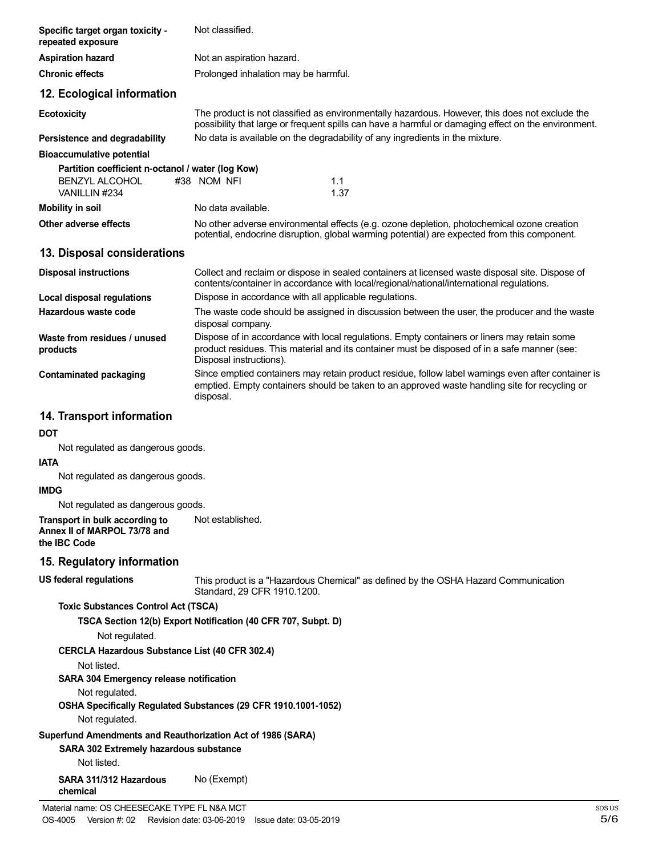| Specific target organ toxicity -<br>repeated exposure                                                 | Not classified.                                                                                                                                                                                                        |
|-------------------------------------------------------------------------------------------------------|------------------------------------------------------------------------------------------------------------------------------------------------------------------------------------------------------------------------|
| <b>Aspiration hazard</b>                                                                              | Not an aspiration hazard.                                                                                                                                                                                              |
| <b>Chronic effects</b>                                                                                | Prolonged inhalation may be harmful.                                                                                                                                                                                   |
| 12. Ecological information                                                                            |                                                                                                                                                                                                                        |
| <b>Ecotoxicity</b>                                                                                    | The product is not classified as environmentally hazardous. However, this does not exclude the<br>possibility that large or frequent spills can have a harmful or damaging effect on the environment.                  |
| Persistence and degradability                                                                         | No data is available on the degradability of any ingredients in the mixture.                                                                                                                                           |
| <b>Bioaccumulative potential</b>                                                                      |                                                                                                                                                                                                                        |
| Partition coefficient n-octanol / water (log Kow)<br>BENZYL ALCOHOL<br>VANILLIN #234                  | #38 NOM NFI<br>1.1<br>1.37                                                                                                                                                                                             |
| <b>Mobility in soil</b>                                                                               | No data available.                                                                                                                                                                                                     |
| Other adverse effects                                                                                 | No other adverse environmental effects (e.g. ozone depletion, photochemical ozone creation<br>potential, endocrine disruption, global warming potential) are expected from this component.                             |
| 13. Disposal considerations                                                                           |                                                                                                                                                                                                                        |
| <b>Disposal instructions</b>                                                                          | Collect and reclaim or dispose in sealed containers at licensed waste disposal site. Dispose of<br>contents/container in accordance with local/regional/national/international regulations.                            |
| Local disposal regulations                                                                            | Dispose in accordance with all applicable regulations.                                                                                                                                                                 |
| Hazardous waste code                                                                                  | The waste code should be assigned in discussion between the user, the producer and the waste<br>disposal company.                                                                                                      |
| Waste from residues / unused<br>products                                                              | Dispose of in accordance with local regulations. Empty containers or liners may retain some<br>product residues. This material and its container must be disposed of in a safe manner (see:<br>Disposal instructions). |
| <b>Contaminated packaging</b>                                                                         | Since emptied containers may retain product residue, follow label warnings even after container is<br>emptied. Empty containers should be taken to an approved waste handling site for recycling or<br>disposal.       |
| 14. Transport information                                                                             |                                                                                                                                                                                                                        |
| <b>DOT</b>                                                                                            |                                                                                                                                                                                                                        |
| Not regulated as dangerous goods.                                                                     |                                                                                                                                                                                                                        |
| <b>IATA</b>                                                                                           |                                                                                                                                                                                                                        |
| Not regulated as dangerous goods.<br><b>IMDG</b>                                                      |                                                                                                                                                                                                                        |
| Not regulated as dangerous goods.                                                                     |                                                                                                                                                                                                                        |
| Transport in bulk according to<br>Annex II of MARPOL 73/78 and<br>the IBC Code                        | Not established.                                                                                                                                                                                                       |
| 15. Regulatory information                                                                            |                                                                                                                                                                                                                        |
| <b>US federal regulations</b>                                                                         | This product is a "Hazardous Chemical" as defined by the OSHA Hazard Communication<br>Standard, 29 CFR 1910.1200.                                                                                                      |
| <b>Toxic Substances Control Act (TSCA)</b>                                                            |                                                                                                                                                                                                                        |
|                                                                                                       | TSCA Section 12(b) Export Notification (40 CFR 707, Subpt. D)                                                                                                                                                          |
| Not regulated.                                                                                        |                                                                                                                                                                                                                        |
| CERCLA Hazardous Substance List (40 CFR 302.4)                                                        |                                                                                                                                                                                                                        |
| Not listed.                                                                                           |                                                                                                                                                                                                                        |
| <b>SARA 304 Emergency release notification</b>                                                        |                                                                                                                                                                                                                        |
| Not regulated.                                                                                        | OSHA Specifically Regulated Substances (29 CFR 1910.1001-1052)                                                                                                                                                         |
| Not regulated.                                                                                        |                                                                                                                                                                                                                        |
| Superfund Amendments and Reauthorization Act of 1986 (SARA)<br>SARA 302 Extremely hazardous substance |                                                                                                                                                                                                                        |
| Not listed.                                                                                           |                                                                                                                                                                                                                        |
| SARA 311/312 Hazardous<br>chemical                                                                    | No (Exempt)                                                                                                                                                                                                            |